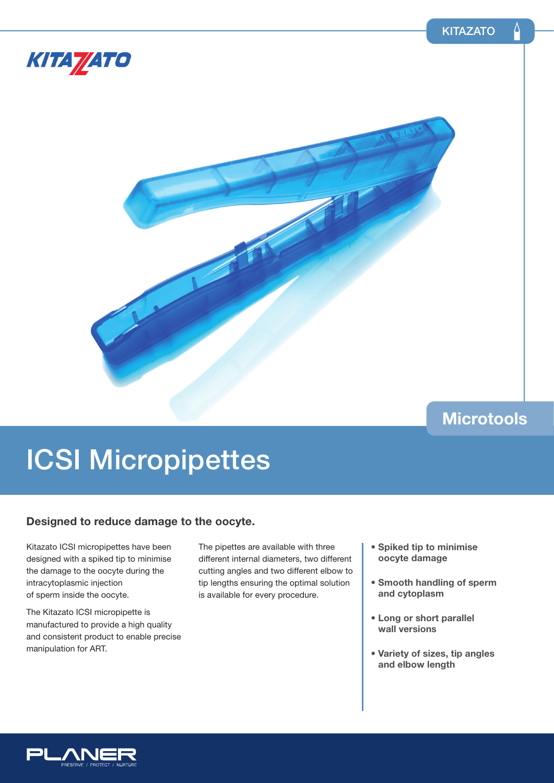



### **Microtools**

# ICSI Micropipettes

### **Designed to reduce damage to the oocyte.**

Kitazato ICSI micropipettes have been designed with a spiked tip to minimise the damage to the oocyte during the intracytoplasmic injection of sperm inside the oocyte.

The Kitazato ICSI micropipette is manufactured to provide a high quality and consistent product to enable precise manipulation for ART.

The pipettes are available with three different internal diameters, two different cutting angles and two different elbow to tip lengths ensuring the optimal solution is available for every procedure.

- **Spiked tip to minimise oocyte damage**
- **Smooth handling of sperm and cytoplasm**
- **Long or short parallel wall versions**
- **Variety of sizes, tip angles and elbow length**